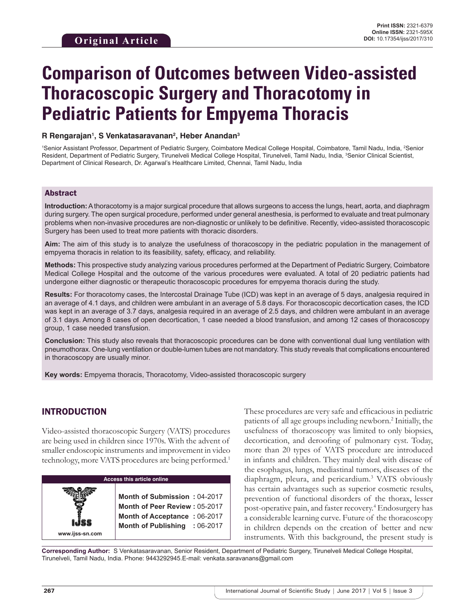# **Comparison of Outcomes between Video-assisted Thoracoscopic Surgery and Thoracotomy in Pediatric Patients for Empyema Thoracis**

## **R Rengarajan1 , S Venkatasaravanan2 , Heber Anandan3**

<sup>1</sup>Senior Assistant Professor, Department of Pediatric Surgery, Coimbatore Medical College Hospital, Coimbatore, Tamil Nadu, India, <sup>2</sup>Senior Resident, Department of Pediatric Surgery, Tirunelveli Medical College Hospital, Tirunelveli, Tamil Nadu, India, <sup>3</sup>Senior Clinical Scientist, Department of Clinical Research, Dr. Agarwal's Healthcare Limited, Chennai, Tamil Nadu, India

## Abstract

**Introduction:** Athoracotomy is a major surgical procedure that allows surgeons to access the lungs, heart, aorta, and diaphragm during surgery. The open surgical procedure, performed under general anesthesia, is performed to evaluate and treat pulmonary problems when non-invasive procedures are non-diagnostic or unlikely to be definitive. Recently, video-assisted thoracoscopic Surgery has been used to treat more patients with thoracic disorders.

**Aim:** The aim of this study is to analyze the usefulness of thoracoscopy in the pediatric population in the management of empyema thoracis in relation to its feasibility, safety, efficacy, and reliability.

**Methods:** This prospective study analyzing various procedures performed at the Department of Pediatric Surgery, Coimbatore Medical College Hospital and the outcome of the various procedures were evaluated. A total of 20 pediatric patients had undergone either diagnostic or therapeutic thoracoscopic procedures for empyema thoracis during the study.

**Results:** For thoracotomy cases, the Intercostal Drainage Tube (ICD) was kept in an average of 5 days, analgesia required in an average of 4.1 days, and children were ambulant in an average of 5.8 days. For thoracoscopic decortication cases, the ICD was kept in an average of 3.7 days, analgesia required in an average of 2.5 days, and children were ambulant in an average of 3.1 days. Among 8 cases of open decortication, 1 case needed a blood transfusion, and among 12 cases of thoracoscopy group, 1 case needed transfusion.

**Conclusion:** This study also reveals that thoracoscopic procedures can be done with conventional dual lung ventilation with pneumothorax. One-lung ventilation or double-lumen tubes are not mandatory. This study reveals that complications encountered in thoracoscopy are usually minor.

**Key words:** Empyema thoracis, Thoracotomy, Video-assisted thoracoscopic surgery

## INTRODUCTION

**www.ijss-sn.com**

Video-assisted thoracoscopic Surgery (VATS) procedures are being used in children since 1970s. With the advent of smaller endoscopic instruments and improvement in video technology, more VATS procedures are being performed.<sup>1</sup>

#### **Access this article online**

**Month of Submission :** 04-2017 **Month of Peer Review :** 05-2017 **Month of Acceptance :** 06-2017 **Month of Publishing :** 06-2017 These procedures are very safe and efficacious in pediatric patients of all age groups including newborn.<sup>2</sup> Initially, the usefulness of thoracoscopy was limited to only biopsies, decortication, and deroofing of pulmonary cyst. Today, more than 20 types of VATS procedure are introduced in infants and children. They mainly deal with disease of the esophagus, lungs, mediastinal tumors, diseases of the diaphragm, pleura, and pericardium.<sup>3</sup> VATS obviously has certain advantages such as superior cosmetic results, prevention of functional disorders of the thorax, lesser post-operative pain, and faster recovery.<sup>4</sup> Endosurgery has a considerable learning curve. Future of the thoracoscopy in children depends on the creation of better and new instruments. With this background, the present study is

**Corresponding Author:** S Venkatasaravanan, Senior Resident, Department of Pediatric Surgery, Tirunelveli Medical College Hospital, Tirunelveli, Tamil Nadu, India. Phone: 9443292945.E-mail: venkata.saravanans@gmail.com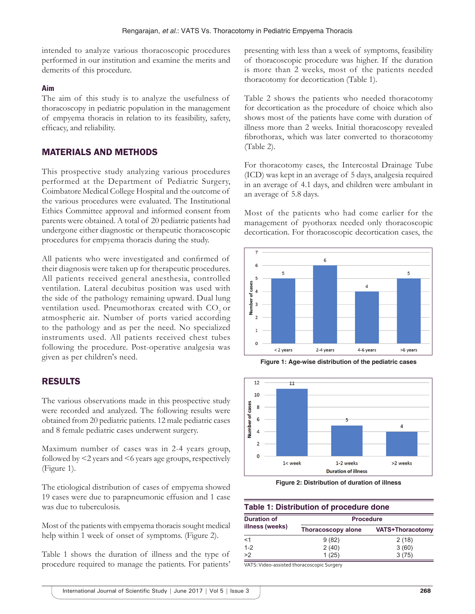intended to analyze various thoracoscopic procedures performed in our institution and examine the merits and demerits of this procedure.

### **Aim**

The aim of this study is to analyze the usefulness of thoracoscopy in pediatric population in the management of empyema thoracis in relation to its feasibility, safety, efficacy, and reliability.

## MATERIALS AND METHODS

This prospective study analyzing various procedures performed at the Department of Pediatric Surgery, Coimbatore Medical College Hospital and the outcome of the various procedures were evaluated. The Institutional Ethics Committee approval and informed consent from parents were obtained. A total of 20 pediatric patients had undergone either diagnostic or therapeutic thoracoscopic procedures for empyema thoracis during the study.

All patients who were investigated and confirmed of their diagnosis were taken up for therapeutic procedures. All patients received general anesthesia, controlled ventilation. Lateral decubitus position was used with the side of the pathology remaining upward. Dual lung ventilation used. Pneumothorax created with CO<sub>2</sub> or atmospheric air. Number of ports varied according to the pathology and as per the need. No specialized instruments used. All patients received chest tubes following the procedure. Post-operative analgesia was given as per children's need.

## RESULTS

The various observations made in this prospective study were recorded and analyzed. The following results were obtained from 20 pediatric patients. 12 male pediatric cases and 8 female pediatric cases underwent surgery.

Maximum number of cases was in 2-4 years group, followed by <2 years and <6 years age groups, respectively (Figure 1).

The etiological distribution of cases of empyema showed 19 cases were due to parapneumonic effusion and 1 case was due to tuberculosis.

Most of the patients with empyema thoracis sought medical help within 1 week of onset of symptoms. (Figure 2).

Table 1 shows the duration of illness and the type of procedure required to manage the patients. For patients' presenting with less than a week of symptoms, feasibility of thoracoscopic procedure was higher. If the duration is more than 2 weeks, most of the patients needed thoracotomy for decortication (Table 1).

Table 2 shows the patients who needed thoracotomy for decortication as the procedure of choice which also shows most of the patients have come with duration of illness more than 2 weeks. Initial thoracoscopy revealed fibrothorax, which was later converted to thoracotomy (Table 2).

For thoracotomy cases, the Intercostal Drainage Tube (ICD) was kept in an average of 5 days, analgesia required in an average of 4.1 days, and children were ambulant in an average of 5.8 days.

Most of the patients who had come earlier for the management of pyothorax needed only thoracoscopic decortication. For thoracoscopic decortication cases, the







**Figure 2: Distribution of duration of illness**

#### **Table 1: Distribution of procedure done**

| <b>Duration of</b><br>illness (weeks)<br>$<$ 1 | <b>Procedure</b>          |                         |  |  |  |
|------------------------------------------------|---------------------------|-------------------------|--|--|--|
|                                                | <b>Thoracoscopy alone</b> | <b>VATS+Thoracotomy</b> |  |  |  |
|                                                | 9(82)                     | 2(18)                   |  |  |  |
| $1 - 2$                                        | 2(40)                     | 3(60)                   |  |  |  |
| >2                                             | 1(25)                     | 3(75)                   |  |  |  |

VATS: Video‑assisted thoracoscopic Surgery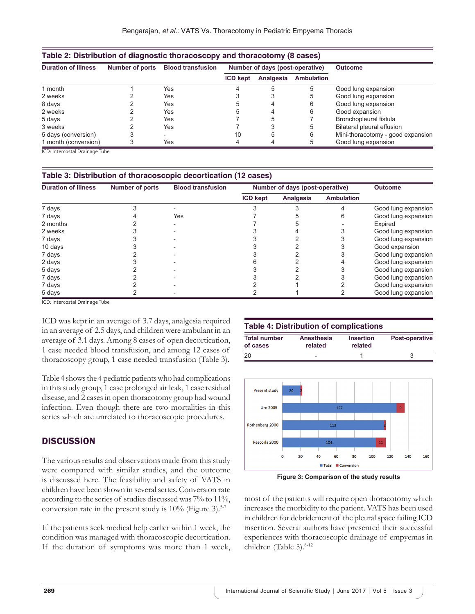| Table 2: Distribution of diagnostic thoracoscopy and thoracotomy (8 cases) |                        |                          |                                 |           |                   |                                   |  |
|----------------------------------------------------------------------------|------------------------|--------------------------|---------------------------------|-----------|-------------------|-----------------------------------|--|
| <b>Duration of Illness</b>                                                 | <b>Number of ports</b> | <b>Blood transfusion</b> | Number of days (post-operative) |           |                   | <b>Outcome</b>                    |  |
|                                                                            |                        |                          | <b>ICD kept</b>                 | Analgesia | <b>Ambulation</b> |                                   |  |
| 1 month                                                                    |                        | Yes                      |                                 |           |                   | Good lung expansion               |  |
| 2 weeks                                                                    |                        | Yes                      |                                 |           |                   | Good lung expansion               |  |
| 8 days                                                                     |                        | Yes                      |                                 |           | 6                 | Good lung expansion               |  |
| 2 weeks                                                                    |                        | Yes                      |                                 |           | 6                 | Good expansion                    |  |
| 5 days                                                                     |                        | Yes                      |                                 |           |                   | Bronchopleural fistula            |  |
| 3 weeks                                                                    |                        | Yes                      |                                 |           |                   | Bilateral pleural effusion        |  |
| 5 days (conversion)                                                        |                        |                          | 10                              | 5         | 6                 | Mini-thoracotomy - good expansion |  |
| 1 month (conversion)                                                       |                        | Yes                      |                                 |           |                   | Good lung expansion               |  |

ICD: Intercostal Drainage Tube

#### **Table 3: Distribution of thoracoscopic decortication (12 cases)**

| <b>Duration of illness</b> | <b>Number of ports</b> | <b>Blood transfusion</b> |                 | Number of days (post-operative) | <b>Outcome</b>    |                     |
|----------------------------|------------------------|--------------------------|-----------------|---------------------------------|-------------------|---------------------|
|                            |                        |                          | <b>ICD kept</b> | Analgesia                       | <b>Ambulation</b> |                     |
| 7 days                     |                        |                          |                 |                                 |                   | Good lung expansion |
| 7 days                     |                        | Yes                      |                 |                                 |                   | Good lung expansion |
| 2 months                   |                        |                          |                 |                                 |                   | Expired             |
| 2 weeks                    |                        |                          |                 |                                 |                   | Good lung expansion |
| 7 days                     |                        |                          |                 |                                 |                   | Good lung expansion |
| 10 days                    |                        |                          |                 |                                 |                   | Good expansion      |
| 7 days                     |                        |                          |                 |                                 |                   | Good lung expansion |
| 2 days                     |                        |                          |                 |                                 |                   | Good lung expansion |
| 5 days                     |                        |                          |                 |                                 |                   | Good lung expansion |
| 7 days                     |                        |                          |                 |                                 |                   | Good lung expansion |
| 7 days                     |                        |                          |                 |                                 |                   | Good lung expansion |
| 5 days                     |                        |                          |                 |                                 |                   | Good lung expansion |

ICD: Intercostal Drainage Tube

ICD was kept in an average of 3.7 days, analgesia required in an average of 2.5 days, and children were ambulant in an average of 3.1 days. Among 8 cases of open decortication, 1 case needed blood transfusion, and among 12 cases of thoracoscopy group, 1 case needed transfusion (Table 3).

Table 4 shows the 4 pediatric patients who had complications in this study group, 1 case prolonged air leak, 1 case residual disease, and 2 cases in open thoracotomy group had wound infection. Even though there are two mortalities in this series which are unrelated to thoracoscopic procedures.

## **DISCUSSION**

The various results and observations made from this study were compared with similar studies, and the outcome is discussed here. The feasibility and safety of VATS in children have been shown in several series. Conversion rate according to the series of studies discussed was 7% to 11%, conversion rate in the present study is  $10\%$  (Figure 3).<sup>5-7</sup>

If the patients seek medical help earlier within 1 week, the condition was managed with thoracoscopic decortication. If the duration of symptoms was more than 1 week,

## **Table 4: Distribution of complications**

| <b>Total number</b> | Anesthesia               | <b>Insertion</b> | <b>Post-operative</b> |  |
|---------------------|--------------------------|------------------|-----------------------|--|
| of cases            | related                  | related          |                       |  |
| 20                  | $\overline{\phantom{0}}$ |                  |                       |  |



**Figure 3: Comparison of the study results**

most of the patients will require open thoracotomy which increases the morbidity to the patient. VATS has been used in children for debridement of the pleural space failing ICD insertion. Several authors have presented their successful experiences with thoracoscopic drainage of empyemas in children (Table 5).<sup>8-12</sup>